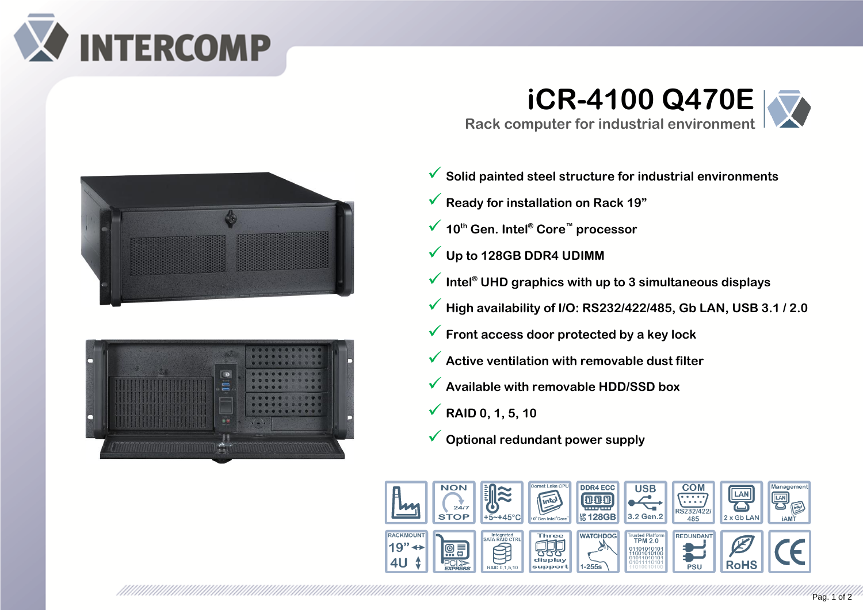

## **iCR-4100 Q470E Rack computer for industrial environment**





<u> Kabupatèn Tanggaran Kabupatèn Tanggaran Kabupatèn Tanggaran Kabupatèn Tanggaran Kabupatèn Tanggaran Kabupatèn</u>

- ✓ **Solid painted steel structure for industrial environments**
- ✓ **Ready for installation on Rack 19"**
- ✓ **<sup>10</sup>th Gen. Intel® Core™ processor**
- ✓ **Up to 128GB DDR4 UDIMM**
- ✓ **Intel® UHD graphics with up to 3 simultaneous displays**
- ✓ **High availability of I/O: RS232/422/485, Gb LAN, USB 3.1 / 2.0**
- ✓ **Front access door protected by a key lock**
- ✓ **Active ventilation with removable dust filter**
- ✓ **Available with removable HDD/SSD box**
- ✓ **RAID 0, 1, 5, 10**
- ✓ **Optional redundant power supply**